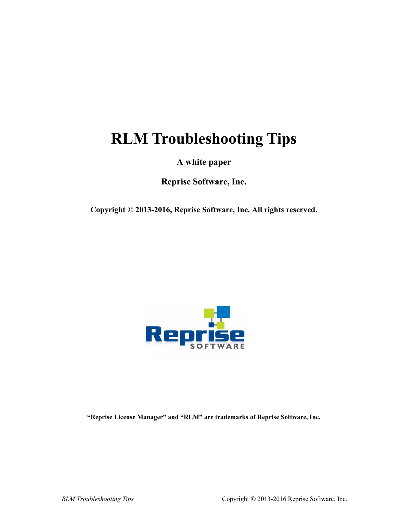# **RLM Troubleshooting Tips**

**A white paper**

**Reprise Software, Inc.**

**Copyright © 2013-2016, Reprise Software, Inc. All rights reserved.**



**"Reprise License Manager" and "RLM" are trademarks of Reprise Software, Inc.**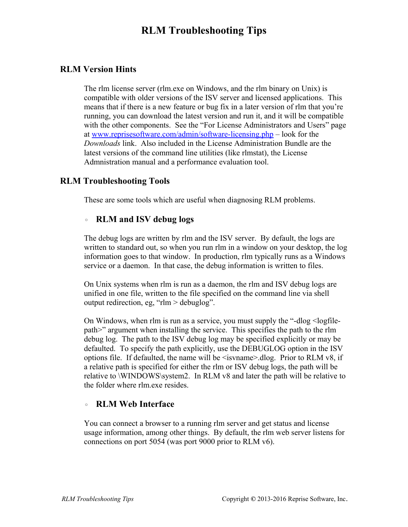## **RLM Troubleshooting Tips**

#### **RLM Version Hints**

The rlm license server (rlm.exe on Windows, and the rlm binary on Unix) is compatible with older versions of the ISV server and licensed applications. This means that if there is a new feature or bug fix in a later version of rlm that you're running, you can download the latest version and run it, and it will be compatible with the other components. See the "For License Administrators and Users" page at [www.reprisesoftware.com/admin/software-licensing.php](http://www.reprisesoftware.com/admin/software-licensing.php) – look for the *Downloads* link. Also included in the License Administration Bundle are the latest versions of the command line utilities (like rlmstat), the License Admnistration manual and a performance evaluation tool.

#### **RLM Troubleshooting Tools**

These are some tools which are useful when diagnosing RLM problems.

#### ◦ **RLM and ISV debug logs**

The debug logs are written by rlm and the ISV server. By default, the logs are written to standard out, so when you run rlm in a window on your desktop, the log information goes to that window. In production, rlm typically runs as a Windows service or a daemon. In that case, the debug information is written to files.

On Unix systems when rlm is run as a daemon, the rlm and ISV debug logs are unified in one file, written to the file specified on the command line via shell output redirection, eg, "rlm > debuglog".

On Windows, when rlm is run as a service, you must supply the "-dlog <logfilepath>" argument when installing the service. This specifies the path to the rlm debug log. The path to the ISV debug log may be specified explicitly or may be defaulted. To specify the path explicitly, use the DEBUGLOG option in the ISV options file. If defaulted, the name will be  $\leq$  isvname  $\geq$  dlog. Prior to RLM v8, if a relative path is specified for either the rlm or ISV debug logs, the path will be relative to \WINDOWS\system2. In RLM v8 and later the path will be relative to the folder where rlm.exe resides.

#### ◦ **RLM Web Interface**

You can connect a browser to a running rlm server and get status and license usage information, among other things. By default, the rlm web server listens for connections on port 5054 (was port 9000 prior to RLM v6).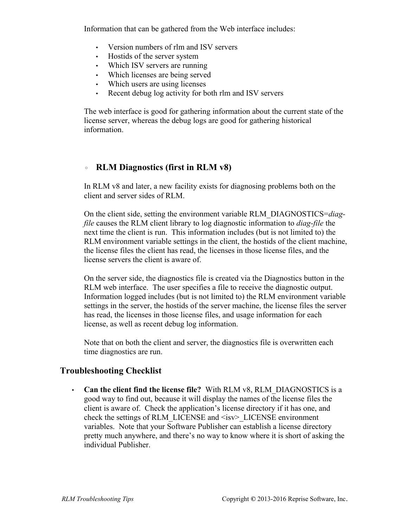Information that can be gathered from the Web interface includes:

- Version numbers of rlm and ISV servers
- Hostids of the server system
- Which ISV servers are running
- Which licenses are being served
- Which users are using licenses
- Recent debug log activity for both rlm and ISV servers

The web interface is good for gathering information about the current state of the license server, whereas the debug logs are good for gathering historical information.

### ◦ **RLM Diagnostics (first in RLM v8)**

In RLM v8 and later, a new facility exists for diagnosing problems both on the client and server sides of RLM.

On the client side, setting the environment variable RLM\_DIAGNOSTICS=*diagfile* causes the RLM client library to log diagnostic information to *diag-file* the next time the client is run. This information includes (but is not limited to) the RLM environment variable settings in the client, the hostids of the client machine, the license files the client has read, the licenses in those license files, and the license servers the client is aware of.

On the server side, the diagnostics file is created via the Diagnostics button in the RLM web interface. The user specifies a file to receive the diagnostic output. Information logged includes (but is not limited to) the RLM environment variable settings in the server, the hostids of the server machine, the license files the server has read, the licenses in those license files, and usage information for each license, as well as recent debug log information.

Note that on both the client and server, the diagnostics file is overwritten each time diagnostics are run.

### **Troubleshooting Checklist**

• **Can the client find the license file?** With RLM v8, RLM\_DIAGNOSTICS is a good way to find out, because it will display the names of the license files the client is aware of. Check the application's license directory if it has one, and check the settings of RLM\_LICENSE and <isv> LICENSE environment variables. Note that your Software Publisher can establish a license directory pretty much anywhere, and there's no way to know where it is short of asking the individual Publisher.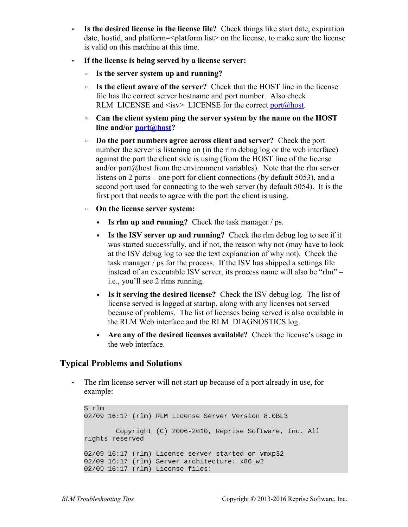- **Is the desired license in the license file?** Check things like start date, expiration date, hostid, and platform= $\leq$ platform list $\geq$  on the license, to make sure the license is valid on this machine at this time.
- **If the license is being served by a license server:**
	- **Is the server system up and running?**
	- **Is the client aware of the server?** Check that the HOST line in the license file has the correct server hostname and port number. Also check RLM\_LICENSE and <isv> LICENSE for the correct [port@host.](mailto:port@host)
	- **Can the client system ping the server system by the name on the HOST line and/or [port@host?](mailto:port@host)**
	- **Do the port numbers agree across client and server?** Check the port number the server is listening on (in the rlm debug log or the web interface) against the port the client side is using (from the HOST line of the license and/or port $(a)$  host from the environment variables). Note that the rlm server listens on 2 ports – one port for client connections (by default 5053), and a second port used for connecting to the web server (by default 5054). It is the first port that needs to agree with the port the client is using.
	- **On the license server system:**
		- **Is rlm up and running?** Check the task manager / ps.
		- **Example 15 Is the ISV server up and running?** Check the rlm debug log to see if it was started successfully, and if not, the reason why not (may have to look at the ISV debug log to see the text explanation of why not). Check the task manager / ps for the process. If the ISV has shipped a settings file instead of an executable ISV server, its process name will also be "rlm" – i.e., you'll see 2 rlms running.
		- **Is it serving the desired license?** Check the ISV debug log. The list of license served is logged at startup, along with any licenses not served because of problems. The list of licenses being served is also available in the RLM Web interface and the RLM\_DIAGNOSTICS log.
		- **Are any of the desired licenses available?** Check the license's usage in the web interface.

#### **Typical Problems and Solutions**

• The rlm license server will not start up because of a port already in use, for example:

```
$ rlm
02/09 16:17 (rlm) RLM License Server Version 8.0BL3
        Copyright (C) 2006-2010, Reprise Software, Inc. All 
rights reserved
02/09 16:17 (rlm) License server started on vmxp32
02/09 16:17 (rlm) Server architecture: x86_w2
02/09 16:17 (rlm) License files:
```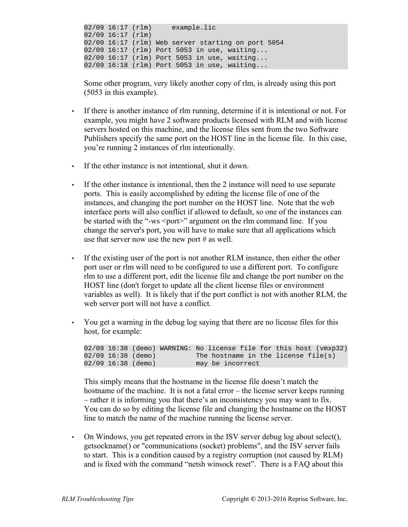02/09 16:17 (rlm) example.lic 02/09 16:17 (rlm) 02/09 16:17 (rlm) Web server starting on port 5054 02/09 16:17 (rlm) Port 5053 in use, waiting... 02/09 16:17 (rlm) Port 5053 in use, waiting... 02/09 16:18 (rlm) Port 5053 in use, waiting...

Some other program, very likely another copy of rlm, is already using this port (5053 in this example).

- If there is another instance of rlm running, determine if it is intentional or not. For example, you might have 2 software products licensed with RLM and with license servers hosted on this machine, and the license files sent from the two Software Publishers specify the same port on the HOST line in the license file. In this case, you're running 2 instances of rlm intentionally.
- If the other instance is not intentional, shut it down.
- If the other instance is intentional, then the 2 instance will need to use separate ports. This is easily accomplished by editing the license file of one of the instances, and changing the port number on the HOST line. Note that the web interface ports will also conflict if allowed to default, so one of the instances can be started with the "-ws <port>" argument on the rlm command line. If you change the server's port, you will have to make sure that all applications which use that server now use the new port # as well.
- If the existing user of the port is not another RLM instance, then either the other port user or rlm will need to be configured to use a different port. To configure rlm to use a different port, edit the license file and change the port number on the HOST line (don't forget to update all the client license files or environment variables as well). It is likely that if the port conflict is not with another RLM, the web server port will not have a conflict.
- You get a warning in the debug log saying that there are no license files for this host, for example:

02/09 16:38 (demo) WARNING: No license file for this host (vmxp32)  $02/09$  16:38 (demo) The hostname in the license file(s)<br> $02/09$  16:38 (demo) may be incorrect may be incorrect

This simply means that the hostname in the license file doesn't match the hostname of the machine. It is not a fatal error – the license server keeps running – rather it is informing you that there's an inconsistency you may want to fix. You can do so by editing the license file and changing the hostname on the HOST line to match the name of the machine running the license server.

• On Windows, you get repeated errors in the ISV server debug log about select(), getsockname() or "communications (socket) problems", and the ISV server fails to start. This is a condition caused by a registry corruption (not caused by RLM) and is fixed with the command "netsh winsock reset". There is a FAQ about this